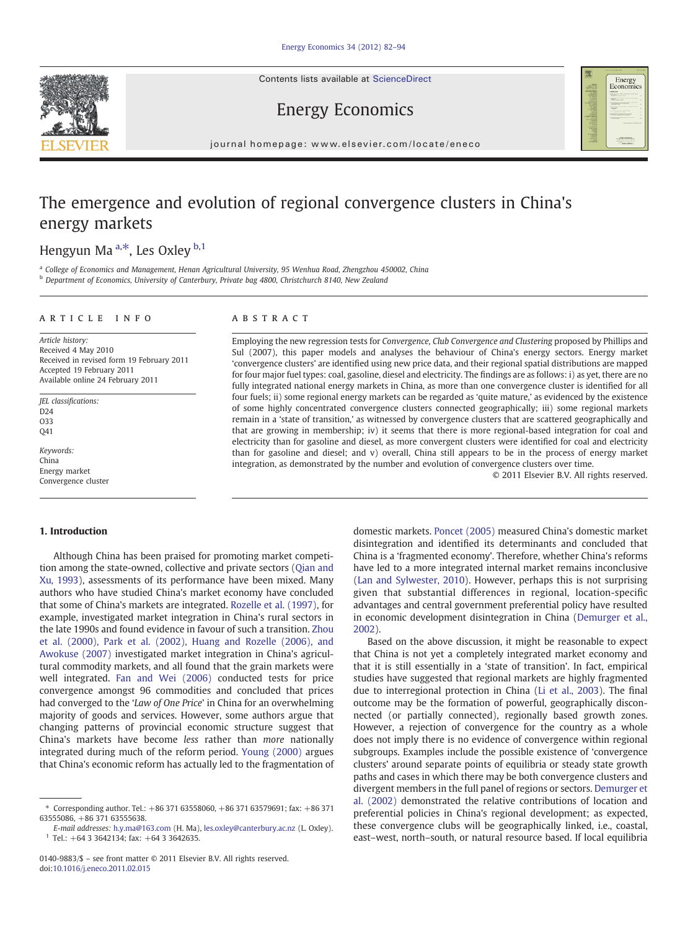Contents lists available at ScienceDirect





Energy Economics

journal homepage: www.elsevier.com/locate/eneco

## The emergence and evolution of regional convergence clusters in China's energy markets

### Hengyun Ma<sup>a,\*</sup>, Les Oxley <sup>b,1</sup>

<sup>a</sup> College of Economics and Management, Henan Agricultural University, 95 Wenhua Road, Zhengzhou 450002, China **b** Department of Economics, University of Canterbury, Private bag 4800, Christchurch 8140, New Zealand

#### article info abstract

Article history: Received 4 May 2010 Received in revised form 19 February 2011 Accepted 19 February 2011 Available online 24 February 2011

JEL classifications: D24 O33 Q41

Keywords: China Energy market Convergence cluster

#### 1. Introduction

Although China has been praised for promoting market competition among the state-owned, collective and private sectors [\(Qian and](#page--1-0) [Xu, 1993\)](#page--1-0), assessments of its performance have been mixed. Many authors who have studied China's market economy have concluded that some of China's markets are integrated. [Rozelle et al. \(1997\)](#page--1-0), for example, investigated market integration in China's rural sectors in the late 1990s and found evidence in favour of such a transition. [Zhou](#page--1-0) [et al. \(2000\), Park et al. \(2002\), Huang and Rozelle \(2006\), and](#page--1-0) [Awokuse \(2007\)](#page--1-0) investigated market integration in China's agricultural commodity markets, and all found that the grain markets were well integrated. [Fan and Wei \(2006\)](#page--1-0) conducted tests for price convergence amongst 96 commodities and concluded that prices had converged to the 'Law of One Price' in China for an overwhelming majority of goods and services. However, some authors argue that changing patterns of provincial economic structure suggest that China's markets have become less rather than more nationally integrated during much of the reform period. [Young \(2000\)](#page--1-0) argues that China's economic reform has actually led to the fragmentation of

Employing the new regression tests for Convergence, Club Convergence and Clustering proposed by Phillips and Sul (2007), this paper models and analyses the behaviour of China's energy sectors. Energy market 'convergence clusters' are identified using new price data, and their regional spatial distributions are mapped for four major fuel types: coal, gasoline, diesel and electricity. The findings are as follows: i) as yet, there are no fully integrated national energy markets in China, as more than one convergence cluster is identified for all four fuels; ii) some regional energy markets can be regarded as 'quite mature,' as evidenced by the existence of some highly concentrated convergence clusters connected geographically; iii) some regional markets remain in a 'state of transition,' as witnessed by convergence clusters that are scattered geographically and that are growing in membership; iv) it seems that there is more regional-based integration for coal and electricity than for gasoline and diesel, as more convergent clusters were identified for coal and electricity than for gasoline and diesel; and v) overall, China still appears to be in the process of energy market integration, as demonstrated by the number and evolution of convergence clusters over time.

© 2011 Elsevier B.V. All rights reserved.

domestic markets. [Poncet \(2005\)](#page--1-0) measured China's domestic market disintegration and identified its determinants and concluded that China is a 'fragmented economy'. Therefore, whether China's reforms have led to a more integrated internal market remains inconclusive [\(Lan and Sylwester, 2010\)](#page--1-0). However, perhaps this is not surprising given that substantial differences in regional, location-specific advantages and central government preferential policy have resulted in economic development disintegration in China ([Demurger et al.,](#page--1-0) [2002\)](#page--1-0).

Based on the above discussion, it might be reasonable to expect that China is not yet a completely integrated market economy and that it is still essentially in a 'state of transition'. In fact, empirical studies have suggested that regional markets are highly fragmented due to interregional protection in China [\(Li et al., 2003](#page--1-0)). The final outcome may be the formation of powerful, geographically disconnected (or partially connected), regionally based growth zones. However, a rejection of convergence for the country as a whole does not imply there is no evidence of convergence within regional subgroups. Examples include the possible existence of 'convergence clusters' around separate points of equilibria or steady state growth paths and cases in which there may be both convergence clusters and divergent members in the full panel of regions or sectors. [Demurger et](#page--1-0) [al. \(2002\)](#page--1-0) demonstrated the relative contributions of location and preferential policies in China's regional development; as expected, these convergence clubs will be geographically linked, i.e., coastal, east–west, north–south, or natural resource based. If local equilibria

<sup>⁎</sup> Corresponding author. Tel.: +86 371 63558060, +86 371 63579691; fax: +86 371 63555086, +86 371 63555638.

E-mail addresses: [h.y.ma@163.com](mailto:h.y.ma@163.com) (H. Ma), [les.oxley@canterbury.ac.nz](mailto:les.oxley@canterbury.ac.nz) (L. Oxley).  $1$  Tel.: +64 3 3642134; fax: +64 3 3642635.

<sup>0140-9883/\$</sup> – see front matter © 2011 Elsevier B.V. All rights reserved. doi[:10.1016/j.eneco.2011.02.015](http://dx.doi.org/10.1016/j.eneco.2011.02.015)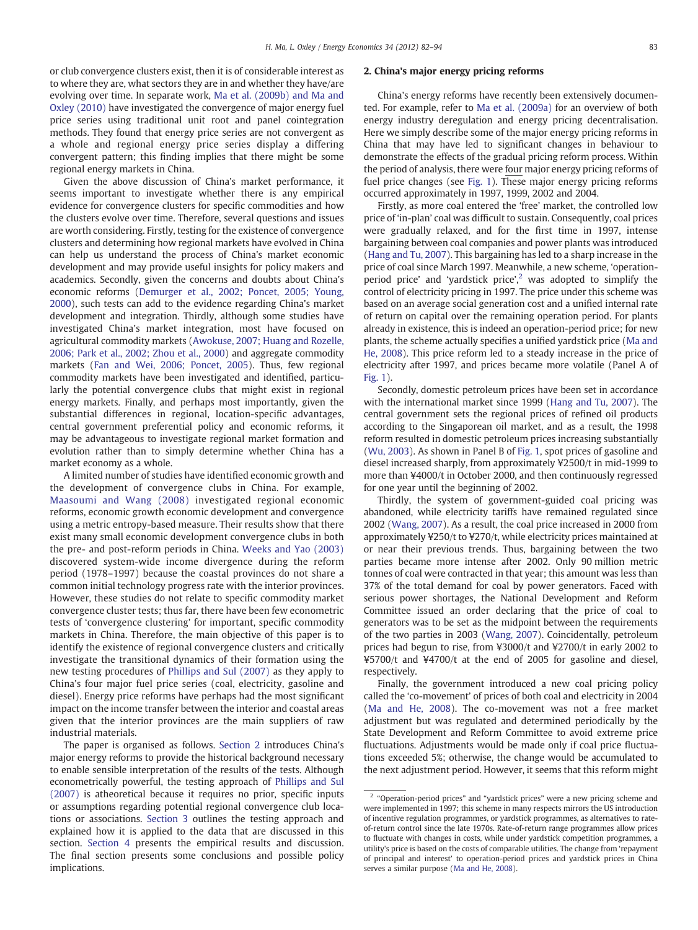or club convergence clusters exist, then it is of considerable interest as to where they are, what sectors they are in and whether they have/are evolving over time. In separate work, [Ma et al. \(2009b\) and Ma and](#page--1-0) [Oxley \(2010\)](#page--1-0) have investigated the convergence of major energy fuel price series using traditional unit root and panel cointegration methods. They found that energy price series are not convergent as a whole and regional energy price series display a differing convergent pattern; this finding implies that there might be some regional energy markets in China.

Given the above discussion of China's market performance, it seems important to investigate whether there is any empirical evidence for convergence clusters for specific commodities and how the clusters evolve over time. Therefore, several questions and issues are worth considering. Firstly, testing for the existence of convergence clusters and determining how regional markets have evolved in China can help us understand the process of China's market economic development and may provide useful insights for policy makers and academics. Secondly, given the concerns and doubts about China's economic reforms ([Demurger et al., 2002; Poncet, 2005; Young,](#page--1-0) [2000\)](#page--1-0), such tests can add to the evidence regarding China's market development and integration. Thirdly, although some studies have investigated China's market integration, most have focused on agricultural commodity markets ([Awokuse, 2007; Huang and Rozelle,](#page--1-0) [2006; Park et al., 2002; Zhou et al., 2000\)](#page--1-0) and aggregate commodity markets [\(Fan and Wei, 2006; Poncet, 2005\)](#page--1-0). Thus, few regional commodity markets have been investigated and identified, particularly the potential convergence clubs that might exist in regional energy markets. Finally, and perhaps most importantly, given the substantial differences in regional, location-specific advantages, central government preferential policy and economic reforms, it may be advantageous to investigate regional market formation and evolution rather than to simply determine whether China has a market economy as a whole.

A limited number of studies have identified economic growth and the development of convergence clubs in China. For example, [Maasoumi and Wang \(2008\)](#page--1-0) investigated regional economic reforms, economic growth economic development and convergence using a metric entropy-based measure. Their results show that there exist many small economic development convergence clubs in both the pre- and post-reform periods in China. [Weeks and Yao \(2003\)](#page--1-0) discovered system-wide income divergence during the reform period (1978–1997) because the coastal provinces do not share a common initial technology progress rate with the interior provinces. However, these studies do not relate to specific commodity market convergence cluster tests; thus far, there have been few econometric tests of 'convergence clustering' for important, specific commodity markets in China. Therefore, the main objective of this paper is to identify the existence of regional convergence clusters and critically investigate the transitional dynamics of their formation using the new testing procedures of [Phillips and Sul \(2007\)](#page--1-0) as they apply to China's four major fuel price series (coal, electricity, gasoline and diesel). Energy price reforms have perhaps had the most significant impact on the income transfer between the interior and coastal areas given that the interior provinces are the main suppliers of raw industrial materials.

The paper is organised as follows. Section 2 introduces China's major energy reforms to provide the historical background necessary to enable sensible interpretation of the results of the tests. Although econometrically powerful, the testing approach of [Phillips and Sul](#page--1-0) [\(2007\)](#page--1-0) is atheoretical because it requires no prior, specific inputs or assumptions regarding potential regional convergence club locations or associations. [Section 3](#page--1-0) outlines the testing approach and explained how it is applied to the data that are discussed in this section. [Section 4](#page--1-0) presents the empirical results and discussion. The final section presents some conclusions and possible policy implications.

### 2. China's major energy pricing reforms

China's energy reforms have recently been extensively documented. For example, refer to [Ma et al. \(2009a\)](#page--1-0) for an overview of both energy industry deregulation and energy pricing decentralisation. Here we simply describe some of the major energy pricing reforms in China that may have led to significant changes in behaviour to demonstrate the effects of the gradual pricing reform process. Within the period of analysis, there were four major energy pricing reforms of fuel price changes (see [Fig. 1\)](#page--1-0). These major energy pricing reforms occurred approximately in 1997, 1999, 2002 and 2004.

Firstly, as more coal entered the 'free' market, the controlled low price of 'in-plan' coal was difficult to sustain. Consequently, coal prices were gradually relaxed, and for the first time in 1997, intense bargaining between coal companies and power plants was introduced [\(Hang and Tu, 2007](#page--1-0)). This bargaining has led to a sharp increase in the price of coal since March 1997. Meanwhile, a new scheme, 'operationperiod price' and 'yardstick price',<sup>2</sup> was adopted to simplify the control of electricity pricing in 1997. The price under this scheme was based on an average social generation cost and a unified internal rate of return on capital over the remaining operation period. For plants already in existence, this is indeed an operation-period price; for new plants, the scheme actually specifies a unified yardstick price ([Ma and](#page--1-0) [He, 2008](#page--1-0)). This price reform led to a steady increase in the price of electricity after 1997, and prices became more volatile (Panel A of [Fig. 1\)](#page--1-0).

Secondly, domestic petroleum prices have been set in accordance with the international market since 1999 ([Hang and Tu, 2007](#page--1-0)). The central government sets the regional prices of refined oil products according to the Singaporean oil market, and as a result, the 1998 reform resulted in domestic petroleum prices increasing substantially [\(Wu, 2003](#page--1-0)). As shown in Panel B of [Fig. 1,](#page--1-0) spot prices of gasoline and diesel increased sharply, from approximately ¥2500/t in mid-1999 to more than ¥4000/t in October 2000, and then continuously regressed for one year until the beginning of 2002.

Thirdly, the system of government-guided coal pricing was abandoned, while electricity tariffs have remained regulated since 2002 [\(Wang, 2007\)](#page--1-0). As a result, the coal price increased in 2000 from approximately ¥250/t to ¥270/t, while electricity prices maintained at or near their previous trends. Thus, bargaining between the two parties became more intense after 2002. Only 90 million metric tonnes of coal were contracted in that year; this amount was less than 37% of the total demand for coal by power generators. Faced with serious power shortages, the National Development and Reform Committee issued an order declaring that the price of coal to generators was to be set as the midpoint between the requirements of the two parties in 2003 [\(Wang, 2007\)](#page--1-0). Coincidentally, petroleum prices had begun to rise, from ¥3000/t and ¥2700/t in early 2002 to ¥5700/t and ¥4700/t at the end of 2005 for gasoline and diesel, respectively.

Finally, the government introduced a new coal pricing policy called the 'co-movement' of prices of both coal and electricity in 2004 [\(Ma and He, 2008\)](#page--1-0). The co-movement was not a free market adjustment but was regulated and determined periodically by the State Development and Reform Committee to avoid extreme price fluctuations. Adjustments would be made only if coal price fluctuations exceeded 5%; otherwise, the change would be accumulated to the next adjustment period. However, it seems that this reform might

<sup>2</sup> "Operation-period prices" and "yardstick prices" were a new pricing scheme and were implemented in 1997; this scheme in many respects mirrors the US introduction of incentive regulation programmes, or yardstick programmes, as alternatives to rateof-return control since the late 1970s. Rate-of-return range programmes allow prices to fluctuate with changes in costs, while under yardstick competition programmes, a utility's price is based on the costs of comparable utilities. The change from 'repayment of principal and interest' to operation-period prices and yardstick prices in China serves a similar purpose [\(Ma and He, 2008\)](#page--1-0).